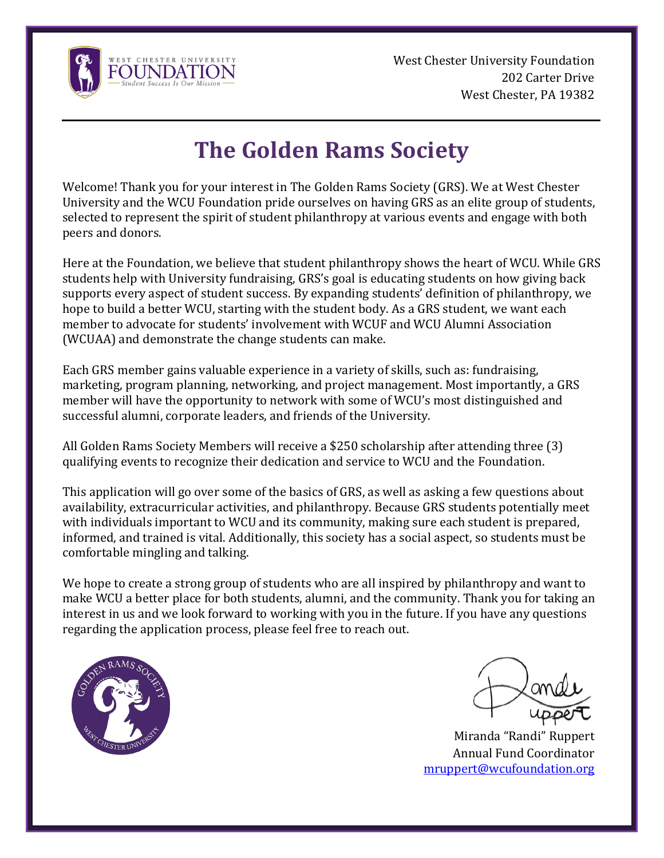

West Chester University Foundation 202 Carter Drive West Chester, PA 19382

## **The Golden Rams Society**

Welcome! Thank you for your interest in The Golden Rams Society (GRS). We at West Chester University and the WCU Foundation pride ourselves on having GRS as an elite group of students, selected to represent the spirit of student philanthropy at various events and engage with both peers and donors.

Here at the Foundation, we believe that student philanthropy shows the heart of WCU. While GRS students help with University fundraising, GRS's goal is educating students on how giving back supports every aspect of student success. By expanding students' definition of philanthropy, we hope to build a better WCU, starting with the student body. As a GRS student, we want each member to advocate for students' involvement with WCUF and WCU Alumni Association (WCUAA) and demonstrate the change students can make.

Each GRS member gains valuable experience in a variety of skills, such as: fundraising, marketing, program planning, networking, and project management. Most importantly, a GRS member will have the opportunity to network with some of WCU's most distinguished and successful alumni, corporate leaders, and friends of the University.

All Golden Rams Society Members will receive a \$250 scholarship after attending three (3) qualifying events to recognize their dedication and service to WCU and the Foundation.

This application will go over some of the basics of GRS, as well as asking a few questions about availability, extracurricular activities, and philanthropy. Because GRS students potentially meet with individuals important to WCU and its community, making sure each student is prepared, informed, and trained is vital. Additionally, this society has a social aspect, so students must be comfortable mingling and talking.

We hope to create a strong group of students who are all inspired by philanthropy and want to make WCU a better place for both students, alumni, and the community. Thank you for taking an interest in us and we look forward to working with you in the future. If you have any questions regarding the application process, please feel free to reach out.



Miranda "Randi" Ruppert Annual Fund Coordinator [mruppert@wcufoundation.org](mailto:mruppert@wcufoundation.org)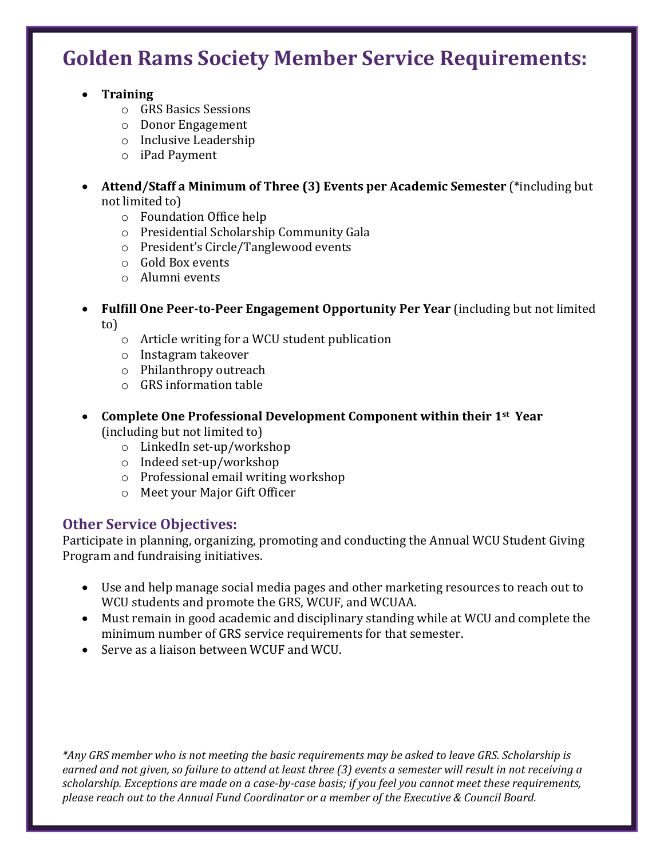### **Golden Rams Society Member Service Requirements:**

- **Training**
	- o GRS Basics Sessions
	- o Donor Engagement
	- o Inclusive Leadership
	- o iPad Payment
- **Attend/Staff a Minimum of Three (3) Events per Academic Semester** (\*including but not limited to)
	- o Foundation Office help
	- o Presidential Scholarship Community Gala
	- o President's Circle/Tanglewood events
	- o Gold Box events
	- o Alumni events
- **Fulfill One Peer-to-Peer Engagement Opportunity Per Year** (including but not limited to)
	- o Article writing for a WCU student publication
	- o Instagram takeover
	- o Philanthropy outreach
	- o GRS information table
- **Complete One Professional Development Component within their 1st Year**  (including but not limited to)
	- o LinkedIn set-up/workshop
	- o Indeed set-up/workshop
	- o Professional email writing workshop
	- o Meet your Major Gift Officer

#### **Other Service Objectives:**

Participate in planning, organizing, promoting and conducting the Annual WCU Student Giving Program and fundraising initiatives.

- Use and help manage social media pages and other marketing resources to reach out to WCU students and promote the GRS, WCUF, and WCUAA.
- Must remain in good academic and disciplinary standing while at WCU and complete the minimum number of GRS service requirements for that semester.
- Serve as a liaison between WCUF and WCU.

*\*Any GRS member who is not meeting the basic requirements may be asked to leave GRS. Scholarship is earned and not given, so failure to attend at least three (3) events a semester will result in not receiving a scholarship. Exceptions are made on a case-by-case basis; if you feel you cannot meet these requirements, please reach out to the Annual Fund Coordinator or a member of the Executive & Council Board.*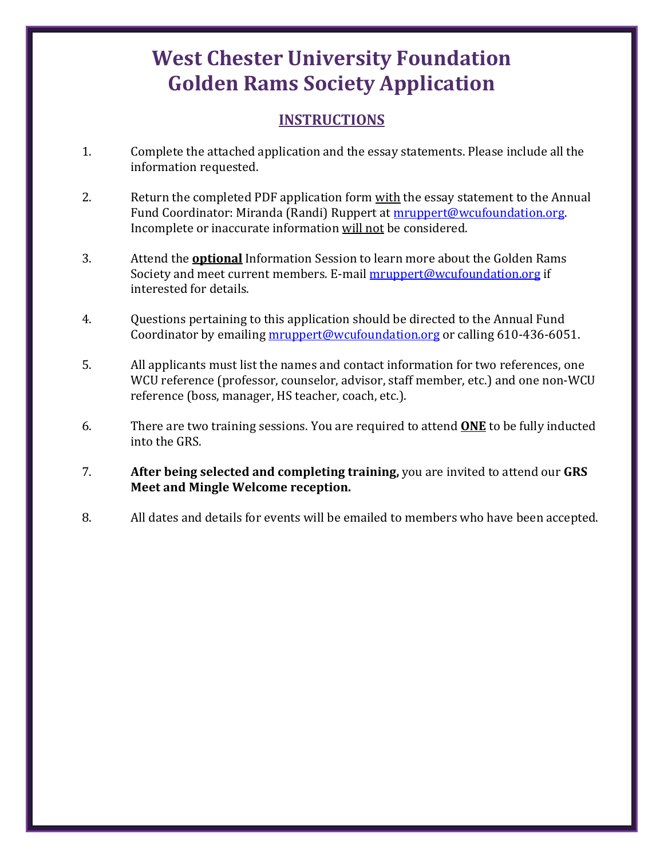## **West Chester University Foundation Golden Rams Society Application**

#### **INSTRUCTIONS**

- 1. Complete the attached application and the essay statements. Please include all the information requested.
- 2. Return the completed PDF application form with the essay statement to the Annual Fund Coordinator: Miranda (Randi) Ruppert at [mruppert@wcufoundation.org.](mailto:mruppert@wcufoundation.org) Incomplete or inaccurate information will not be considered.
- 3. Attend the **optional** Information Session to learn more about the Golden Rams Society and meet current members. E-mail [mruppert@wcufoundation.org](mailto:mruppert@wcufoundation.org) if interested for details.
- 4. Questions pertaining to this application should be directed to the Annual Fund Coordinator by emailing [mruppert@wcufoundation.org](mailto:mruppert@wcufoundation.org) or calling 610-436-6051.
- 5. All applicants must list the names and contact information for two references, one WCU reference (professor, counselor, advisor, staff member, etc.) and one non-WCU reference (boss, manager, HS teacher, coach, etc.).
- 6. There are two training sessions. You are required to attend **ONE** to be fully inducted into the GRS.
- 7. **After being selected and completing training,** you are invited to attend our **GRS Meet and Mingle Welcome reception.**
- 8. All dates and details for events will be emailed to members who have been accepted.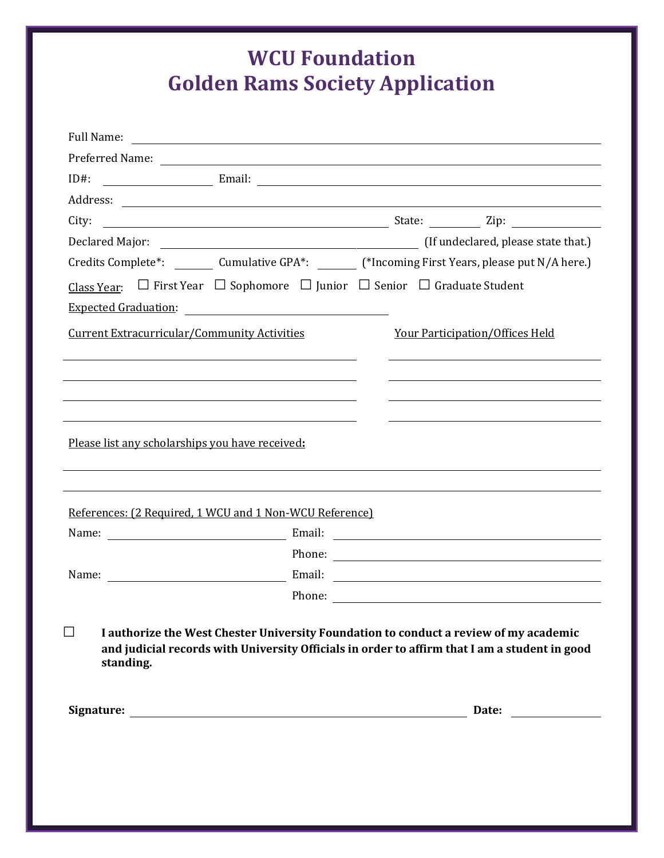## **WCU Foundation Golden Rams Society Application**

| Full Name:                                                                                                                                                                                                                     |  |                                        |                       |
|--------------------------------------------------------------------------------------------------------------------------------------------------------------------------------------------------------------------------------|--|----------------------------------------|-----------------------|
|                                                                                                                                                                                                                                |  |                                        |                       |
| $ID#$ :                                                                                                                                                                                                                        |  |                                        |                       |
|                                                                                                                                                                                                                                |  |                                        |                       |
| City:                                                                                                                                                                                                                          |  |                                        |                       |
|                                                                                                                                                                                                                                |  |                                        |                       |
| Credits Complete*: _________ Cumulative GPA*: _______ (*Incoming First Years, please put N/A here.)                                                                                                                            |  |                                        |                       |
| Class Year: $\Box$ First Year $\Box$ Sophomore $\Box$ Junior $\Box$ Senior $\Box$ Graduate Student                                                                                                                             |  |                                        |                       |
| Expected Graduation: The Contract of the Contract of the Contract of the Contract of the Contract of the Contract of the Contract of the Contract of the Contract of the Contract of the Contract of the Contract of the Contr |  |                                        |                       |
| <b>Current Extracurricular/Community Activities</b>                                                                                                                                                                            |  | <b>Your Participation/Offices Held</b> |                       |
|                                                                                                                                                                                                                                |  |                                        |                       |
|                                                                                                                                                                                                                                |  |                                        |                       |
|                                                                                                                                                                                                                                |  |                                        |                       |
| Please list any scholarships you have received:                                                                                                                                                                                |  |                                        |                       |
| References: (2 Required, 1 WCU and 1 Non-WCU Reference)                                                                                                                                                                        |  |                                        |                       |
|                                                                                                                                                                                                                                |  |                                        |                       |
|                                                                                                                                                                                                                                |  |                                        | Phone:                |
|                                                                                                                                                                                                                                |  |                                        |                       |
|                                                                                                                                                                                                                                |  |                                        | Phone:                |
| $\Box$<br>I authorize the West Chester University Foundation to conduct a review of my academic<br>and judicial records with University Officials in order to affirm that I am a student in good<br>standing.                  |  |                                        | Date: <u>________</u> |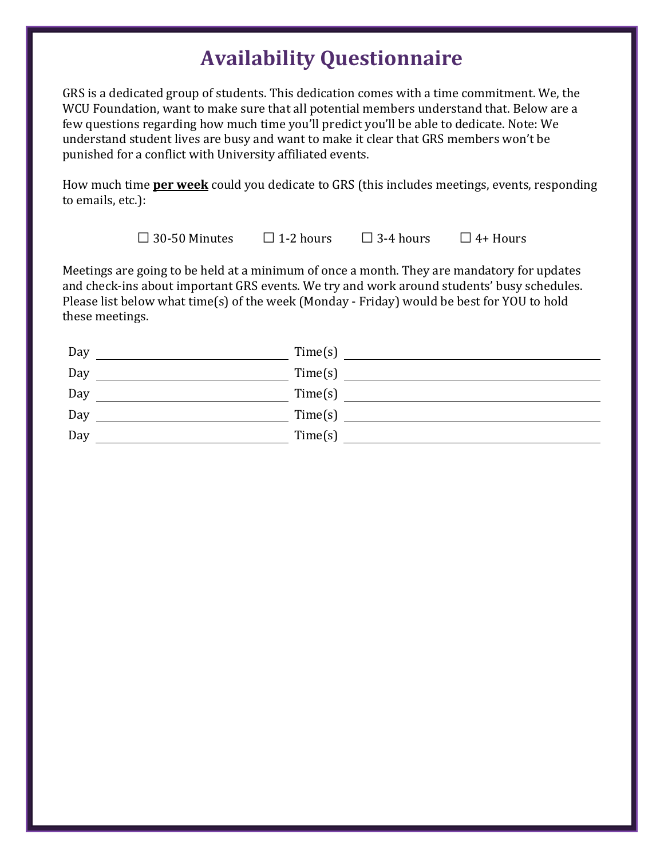## **Availability Questionnaire**

GRS is a dedicated group of students. This dedication comes with a time commitment. We, the WCU Foundation, want to make sure that all potential members understand that. Below are a few questions regarding how much time you'll predict you'll be able to dedicate. Note: We understand student lives are busy and want to make it clear that GRS members won't be punished for a conflict with University affiliated events.

How much time **per week** could you dedicate to GRS (this includes meetings, events, responding to emails, etc.):

**□**30-50 Minutes **□** 1-2 hours **□** 3-4 hours **□**4+ Hours

Meetings are going to be held at a minimum of once a month. They are mandatory for updates and check-ins about important GRS events. We try and work around students' busy schedules. Please list below what time(s) of the week (Monday - Friday) would be best for YOU to hold these meetings.

| Day | Time(s) |
|-----|---------|
| Day | Time(s) |
| Day | Time(s) |
| Day | Time(s) |
| Day | Time(s) |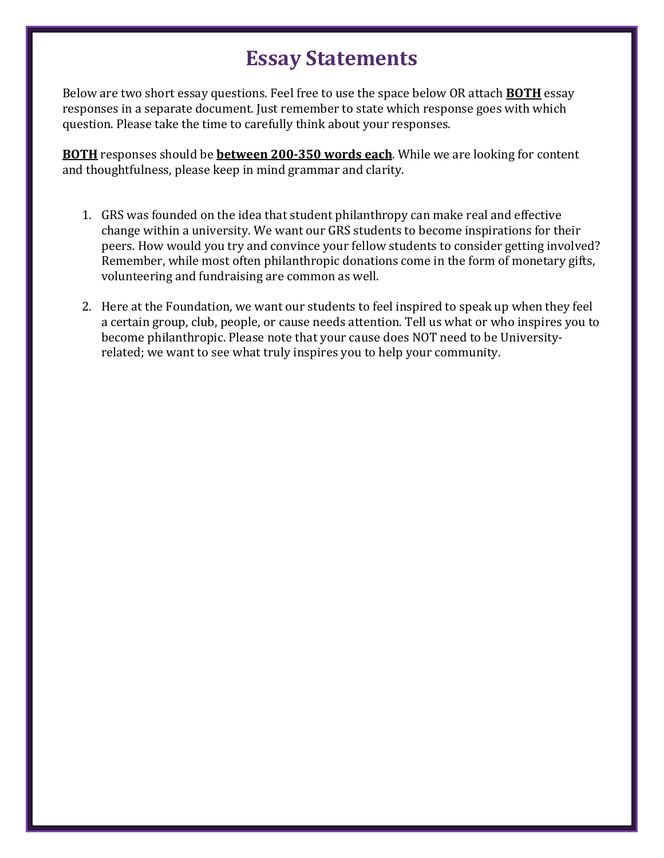### **Essay Statements**

Below are two short essay questions. Feel free to use the space below OR attach **BOTH** essay responses in a separate document. Just remember to state which response goes with which question. Please take the time to carefully think about your responses.

**BOTH** responses should be **between 200-350 words each**. While we are looking for content and thoughtfulness, please keep in mind grammar and clarity.

- 1. GRS was founded on the idea that student philanthropy can make real and effective change within a university. We want our GRS students to become inspirations for their peers. How would you try and convince your fellow students to consider getting involved? Remember, while most often philanthropic donations come in the form of monetary gifts, volunteering and fundraising are common as well.
- 2. Here at the Foundation, we want our students to feel inspired to speak up when they feel a certain group, club, people, or cause needs attention. Tell us what or who inspires you to become philanthropic. Please note that your cause does NOT need to be Universityrelated; we want to see what truly inspires you to help your community.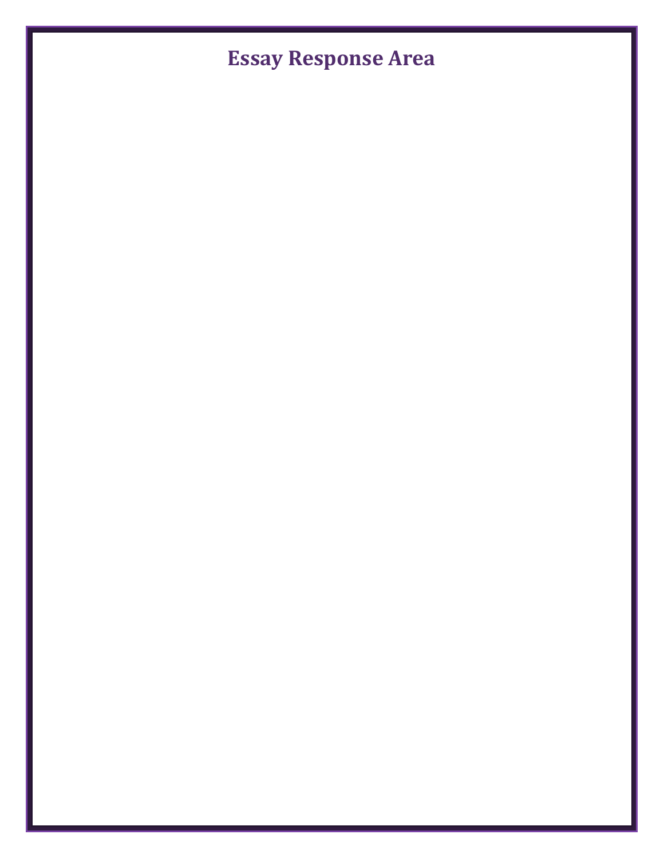# **Essay Response Area**